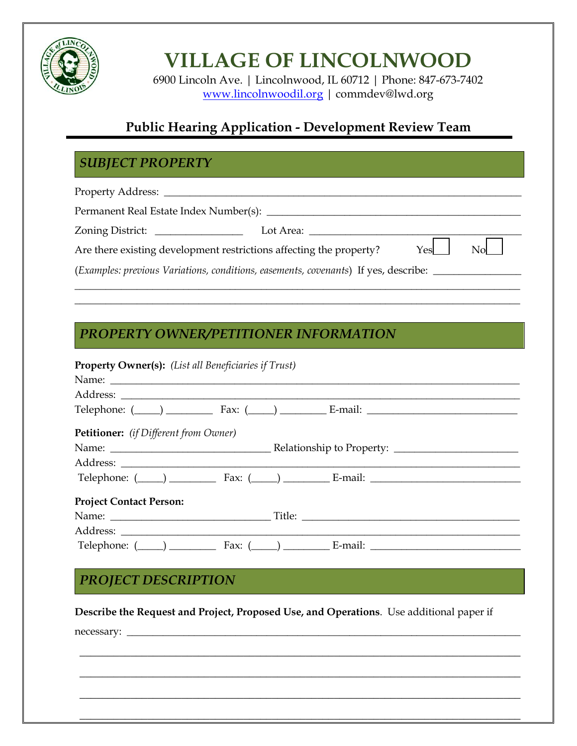

# **VILLAGE OF LINCOLNWOOD**

6900 Lincoln Ave. | Lincolnwood, IL 60712 | Phone: 847-673-7402 [www.lincolnwoodil.org](http://www.lincolnwoodil.org/) | commdev@lwd.org

# **Public Hearing Application - Development Review Team**

# *SUBJECT PROPERTY*

Property Address:

ACTION

| Permanent Real Estate Index Number(s): ________                                     |           |                 |                           |  |
|-------------------------------------------------------------------------------------|-----------|-----------------|---------------------------|--|
| Zoning District:                                                                    | Lot Area: |                 |                           |  |
| Are there existing development restrictions affecting the property?                 |           | $Y_{\text{es}}$ | $\mathbf{N}$ $\mathbf{N}$ |  |
| (Examples: previous Variations, conditions, easements, covenants) If yes, describe: |           |                 |                           |  |
|                                                                                     |           |                 |                           |  |

\_\_\_\_\_\_\_\_\_\_\_\_\_\_\_\_\_\_\_\_\_\_\_\_\_\_\_\_\_\_\_\_\_\_\_\_\_\_\_\_\_\_\_\_\_\_\_\_\_\_\_\_\_\_\_\_\_\_\_\_\_\_\_\_\_\_\_\_\_\_\_\_\_\_\_\_\_\_\_\_\_\_\_\_\_\_

#### *PROPERTY OWNER/PETITIONER INFORMATION*

| <b>Property Owner(s):</b> (List all Beneficiaries if Trust) |                                                               |
|-------------------------------------------------------------|---------------------------------------------------------------|
|                                                             |                                                               |
|                                                             |                                                               |
|                                                             | Telephone: $(\_\_\_\_)$ Fax: $(\_\_\_)$ E-mail: $\_\_\_\_\_$  |
| <b>Petitioner:</b> (if Different from Owner)                |                                                               |
|                                                             |                                                               |
|                                                             |                                                               |
|                                                             | Telephone: $(\_\_\_\_)$ Fax: $(\_\_\_)$ E-mail: $\_\_\_\_\_$  |
| <b>Project Contact Person:</b>                              |                                                               |
|                                                             |                                                               |
|                                                             |                                                               |
|                                                             | Telephone: $(\_\_\_)$ Fax: $(\_\_)$ Fax: E-mail: $\_\_\_\_\_$ |

## **NOTICE OF REASONABLE ACCOMMODATION PROCESS** *PROJECT DESCRIPTION*

**Describe the Request and Project, Proposed Use, and Operations**. Use additional paper if

\_\_\_\_\_\_\_\_\_\_\_\_\_\_\_\_\_\_\_\_\_\_\_\_\_\_\_\_\_\_\_\_\_\_\_\_\_\_\_\_\_\_\_\_\_\_\_\_\_\_\_\_\_\_\_\_\_\_\_\_\_\_\_\_\_\_\_\_\_\_\_\_\_\_\_\_\_\_

\_\_\_\_\_\_\_\_\_\_\_\_\_\_\_\_\_\_\_\_\_\_\_\_\_\_\_\_\_\_\_\_\_\_\_\_\_\_\_\_\_\_\_\_\_\_\_\_\_\_\_\_\_\_\_\_\_\_\_\_\_\_\_\_\_\_\_\_\_\_\_\_\_\_\_\_\_\_

\_\_\_\_\_\_\_\_\_\_\_\_\_\_\_\_\_\_\_\_\_\_\_\_\_\_\_\_\_\_\_\_\_\_\_\_\_\_\_\_\_\_\_\_\_\_\_\_\_\_\_\_\_\_\_\_\_\_\_\_\_\_\_\_\_\_\_\_\_\_\_\_\_\_\_\_\_\_

\_\_\_\_\_\_\_\_\_\_\_\_\_\_\_\_\_\_\_\_\_\_\_\_\_\_\_\_\_\_\_\_\_\_\_\_\_\_\_\_\_\_\_\_\_\_\_\_\_\_\_\_\_\_\_\_\_\_\_\_\_\_\_\_\_\_\_\_\_\_\_\_\_\_\_\_\_\_

necessary: